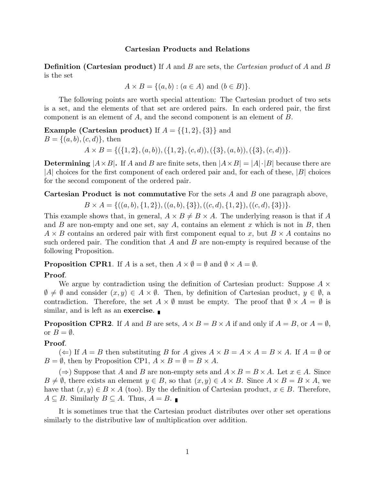## Cartesian Products and Relations

**Definition (Cartesian product)** If A and B are sets, the Cartesian product of A and B is the set

$$
A \times B = \{(a, b) : (a \in A) \text{ and } (b \in B)\}.
$$

The following points are worth special attention: The Cartesian product of two sets is a set, and the elements of that set are ordered pairs. In each ordered pair, the first component is an element of A, and the second component is an element of B.

**Example (Cartesian product)** If  $A = \{\{1, 2\}, \{3\}\}\$ and  $B = \{(a, b), (c, d)\}\text{, then}$ 

 $A \times B = \{(\{1, 2\}, (a, b)), (\{1, 2\}, (c, d)), (\{3\}, (a, b)), (\{3\}, (c, d))\}.$ 

**Determining**  $|A \times B|$ . If A and B are finite sets, then  $|A \times B| = |A| \cdot |B|$  because there are |A| choices for the first component of each ordered pair and, for each of these, |B| choices for the second component of the ordered pair.

**Cartesian Product is not commutative** For the sets  $A$  and  $B$  one paragraph above,

 $B \times A = \{((a, b), \{1, 2\}), ((a, b), \{3\}), ((c, d), \{1, 2\}), ((c, d), \{3\})\}.$ 

This example shows that, in general,  $A \times B \neq B \times A$ . The underlying reason is that if A and B are non-empty and one set, say A, contains an element x which is not in B, then  $A \times B$  contains an ordered pair with first component equal to x, but  $B \times A$  contains no such ordered pair. The condition that  $A$  and  $B$  are non-empty is required because of the following Proposition.

**Proposition CPR1.** If A is a set, then  $A \times \emptyset = \emptyset$  and  $\emptyset \times A = \emptyset$ .

## Proof.

We argue by contradiction using the definition of Cartesian product: Suppose  $A \times$  $\emptyset \neq \emptyset$  and consider  $(x, y) \in A \times \emptyset$ . Then, by definition of Cartesian product,  $y \in \emptyset$ , a contradiction. Therefore, the set  $A \times \emptyset$  must be empty. The proof that  $\emptyset \times A = \emptyset$  is similar, and is left as an exercise.

**Proposition CPR2.** If A and B are sets,  $A \times B = B \times A$  if and only if  $A = B$ , or  $A = \emptyset$ , or  $B = \emptyset$ .

## Proof.

 $(\Leftarrow)$  If  $A = B$  then substituting B for A gives  $A \times B = A \times A = B \times A$ . If  $A = \emptyset$  or  $B = \emptyset$ , then by Proposition CP1,  $A \times B = \emptyset = B \times A$ .

 $(\Rightarrow)$  Suppose that A and B are non-empty sets and  $A \times B = B \times A$ . Let  $x \in A$ . Since  $B \neq \emptyset$ , there exists an element  $y \in B$ , so that  $(x, y) \in A \times B$ . Since  $A \times B = B \times A$ , we have that  $(x, y) \in B \times A$  (too). By the definition of Cartesian product,  $x \in B$ . Therefore,  $A \subseteq B$ . Similarly  $B \subseteq A$ . Thus,  $A = B$ .

It is sometimes true that the Cartesian product distributes over other set operations similarly to the distributive law of multiplication over addition.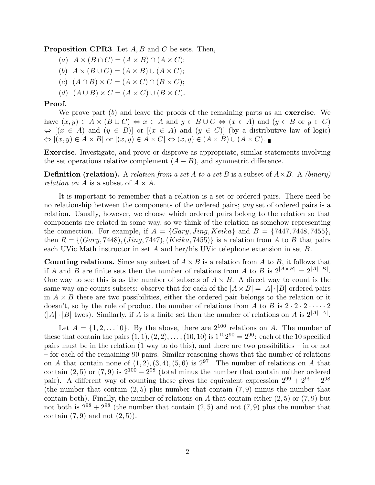**Proposition CPR3.** Let  $A, B$  and  $C$  be sets. Then,

- (a)  $A \times (B \cap C) = (A \times B) \cap (A \times C);$
- (b)  $A \times (B \cup C) = (A \times B) \cup (A \times C);$
- (c)  $(A \cap B) \times C = (A \times C) \cap (B \times C);$
- (d)  $(A \cup B) \times C = (A \times C) \cup (B \times C).$

## Proof.

We prove part  $(b)$  and leave the proofs of the remaining parts as an **exercise**. We have  $(x, y) \in A \times (B \cup C) \Leftrightarrow x \in A$  and  $y \in B \cup C \Leftrightarrow (x \in A)$  and  $(y \in B$  or  $y \in C)$  $\Leftrightarrow$   $[(x \in A)$  and  $(y \in B)]$  or  $[(x \in A)$  and  $(y \in C)]$  (by a distributive law of logic)  $\Leftrightarrow$   $[(x, y) \in A \times B]$  or  $[(x, y) \in A \times C] \Leftrightarrow (x, y) \in (A \times B) \cup (A \times C)$ .

Exercise. Investigate, and prove or disprove as appropriate, similar statements involving the set operations relative complement  $(A - B)$ , and symmetric difference.

**Definition (relation).** A relation from a set A to a set B is a subset of  $A \times B$ . A (binary) *relation on* A is a subset of  $A \times A$ .

It is important to remember that a relation is a set or ordered pairs. There need be no relationship between the components of the ordered pairs; any set of ordered pairs is a relation. Usually, however, we choose which ordered pairs belong to the relation so that components are related in some way, so we think of the relation as somehow representing the connection. For example, if  $A = \{Gary, Jing, Keika\}$  and  $B = \{7447, 7448, 7455\}$ , then  $R = \{(Gary, 7448), (Jing, 7447), (Keika, 7455)\}\$ is a relation from A to B that pairs each UVic Math instructor in set A and her/his UVic telephone extension in set B.

**Counting relations.** Since any subset of  $A \times B$  is a relation from A to B, it follows that if A and B are finite sets then the number of relations from A to B is  $2^{|A \times B|} = 2^{|A| \cdot |B|}$ . One way to see this is as the number of subsets of  $A \times B$ . A direct way to count is the same way one counts subsets: observe that for each of the  $|A \times B| = |A| \cdot |B|$  ordered pairs in  $A \times B$  there are two possibilities, either the ordered pair belongs to the relation or it doesn't, so by the rule of product the number of relations from A to B is  $2 \cdot 2 \cdot 2 \cdot \cdots \cdot 2$  $(|A| \cdot |B|)$  twos). Similarly, if A is a finite set then the number of relations on A is  $2^{|A| \cdot |A|}$ .

Let  $A = \{1, 2, \ldots 10\}$ . By the above, there are  $2^{100}$  relations on A. The number of these that contain the pairs  $(1, 1), (2, 2), \ldots, (10, 10)$  is  $1^{10}2^{90} = 2^{90}$ : each of the 10 specified pairs must be in the relation (1 way to do this), and there are two possibilities – in or not – for each of the remaining 90 pairs. Similar reasoning shows that the number of relations on A that contain none of  $(1, 2), (3, 4), (5, 6)$  is  $2^{97}$ . The number of relations on A that contain (2, 5) or (7, 9) is  $2^{100} - 2^{98}$  (total minus the number that contain neither ordered pair). A different way of counting these gives the equivalent expression  $2^{99} + 2^{99} - 2^{98}$ (the number that contain  $(2, 5)$  plus number that contain  $(7, 9)$  minus the number that contain both). Finally, the number of relations on A that contain either  $(2,5)$  or  $(7,9)$  but not both is  $2^{98} + 2^{98}$  (the number that contain  $(2, 5)$  and not  $(7, 9)$  plus the number that contain  $(7, 9)$  and not  $(2, 5)$ ).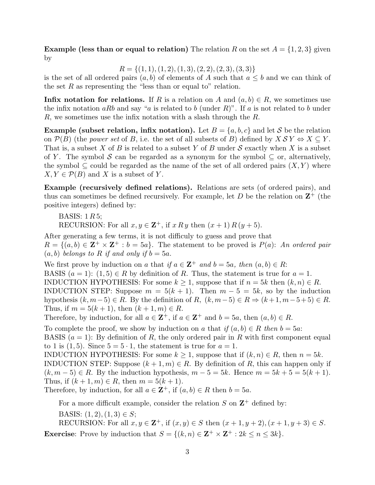**Example (less than or equal to relation)** The relation R on the set  $A = \{1, 2, 3\}$  given by

 $R = \{(1, 1), (1, 2), (1, 3), (2, 2), (2, 3), (3, 3)\}\$ 

is the set of all ordered pairs  $(a, b)$  of elements of A such that  $a \leq b$  and we can think of the set R as representing the "less than or equal to" relation.

Infix notation for relations. If R is a relation on A and  $(a, b) \in R$ , we sometimes use the infix notation aRb and say "a is related to b (under R)". If a is not related to b under R, we sometimes use the infix notation with a slash through the  $R$ .

**Example (subset relation, infix notation).** Let  $B = \{a, b, c\}$  and let S be the relation on  $\mathcal{P}(B)$  (the power set of B, i.e. the set of all subsets of B) defined by  $X \mathcal{S} Y \Leftrightarrow X \subseteq Y$ . That is, a subset X of B is related to a subset Y of B under S exactly when X is a subset of Y. The symbol S can be regarded as a synonym for the symbol  $\subseteq$  or, alternatively, the symbol  $\subseteq$  could be regarded as the name of the set of all ordered pairs  $(X, Y)$  where  $X, Y \in \mathcal{P}(B)$  and X is a subset of Y.

Example (recursively defined relations). Relations are sets (of ordered pairs), and thus can sometimes be defined recursively. For example, let  $D$  be the relation on  $\mathbb{Z}^+$  (the positive integers) defined by:

BASIS:  $1 R 5$ ; RECURSION: For all  $x, y \in \mathbb{Z}^+$ , if  $x R y$  then  $(x + 1) R (y + 5)$ .

After generating a few terms, it is not difficuly to guess and prove that  $R = \{(a, b) \in \mathbb{Z}^+ \times \mathbb{Z}^+ : b = 5a\}.$  The statement to be proved is  $P(a)$ : An ordered pair  $(a, b)$  belongs to R if and only if  $b = 5a$ .

We first prove by induction on a that if  $a \in \mathbb{Z}^+$  and  $b = 5a$ , then  $(a, b) \in R$ : BASIS  $(a = 1)$ :  $(1, 5) \in R$  by definition of R. Thus, the statement is true for  $a = 1$ . INDUCTION HYPOTHESIS: For some  $k \geq 1$ , suppose that if  $n = 5k$  then  $(k, n) \in R$ . INDUCTION STEP: Suppose  $m = 5(k + 1)$ . Then  $m - 5 = 5k$ , so by the induction hypothesis  $(k, m-5) \in R$ . By the definition of R,  $(k, m-5) \in R \Rightarrow (k+1, m-5+5) \in R$ . Thus, if  $m = 5(k + 1)$ , then  $(k + 1, m) \in R$ .

Therefore, by induction, for all  $a \in \mathbb{Z}^+$ , if  $a \in \mathbb{Z}^+$  and  $b = 5a$ , then  $(a, b) \in R$ .

To complete the proof, we show by induction on a that if  $(a, b) \in R$  then  $b = 5a$ .

BASIS  $(a = 1)$ : By definition of R, the only ordered pair in R with first component equal to 1 is (1, 5). Since  $5 = 5 \cdot 1$ , the statement is true for  $a = 1$ .

INDUCTION HYPOTHESIS: For some  $k \geq 1$ , suppose that if  $(k, n) \in R$ , then  $n = 5k$ . INDUCTION STEP: Suppose  $(k + 1, m) \in R$ . By definition of R, this can happen only if  $(k, m-5) \in R$ . By the induction hypothesis,  $m-5=5k$ . Hence  $m=5k+5=5(k+1)$ . Thus, if  $(k + 1, m) \in R$ , then  $m = 5(k + 1)$ .

Therefore, by induction, for all  $a \in \mathbf{Z}^+$ , if  $(a, b) \in R$  then  $b = 5a$ .

For a more difficult example, consider the relation  $S$  on  $\mathbb{Z}^+$  defined by:

BASIS:  $(1, 2), (1, 3) \in S$ ;

RECURSION: For all  $x, y \in \mathbb{Z}^+$ , if  $(x, y) \in S$  then  $(x + 1, y + 2), (x + 1, y + 3) \in S$ . **Exercise**: Prove by induction that  $S = \{(k, n) \in \mathbb{Z}^+ \times \mathbb{Z}^+ : 2k \le n \le 3k\}.$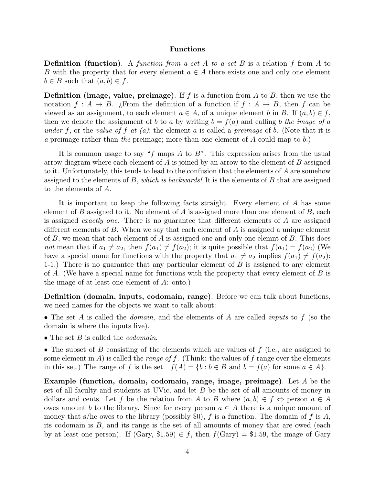#### Functions

**Definition (function).** A function from a set A to a set B is a relation f from A to B with the property that for every element  $a \in A$  there exists one and only one element  $b \in B$  such that  $(a, b) \in f$ .

**Definition (image, value, preimage)**. If f is a function from A to B, then we use the notation  $f : A \to B$ . ¿From the definition of a function if  $f : A \to B$ , then f can be viewed as an assignment, to each element  $a \in A$ , of a unique element b in B. If  $(a, b) \in f$ , then we denote the assignment of b to a by writing  $b = f(a)$  and calling b the image of a under f, or the value of f at  $(a)$ ; the element a is called a preimage of b. (Note that it is a preimage rather than the preimage; more than one element of A could map to b.)

It is common usage to say "f maps A to B". This expression arises from the usual arrow diagram where each element of  $A$  is joined by an arrow to the element of  $B$  assigned to it. Unfortunately, this tends to lead to the confusion that the elements of A are somehow assigned to the elements of B, which is backwards! It is the elements of B that are assigned to the elements of A.

It is important to keep the following facts straight. Every element of A has some element of B assigned to it. No element of A is assigned more than one element of B, each is assigned exactly one. There is no guarantee that different elements of A are assigned different elements of  $B$ . When we say that each element of  $A$  is assigned a unique element of  $B$ , we mean that each element of  $A$  is assigned one and only one elemnt of  $B$ . This does not mean that if  $a_1 \neq a_2$ , then  $f(a_1) \neq f(a_2)$ ; it is quite possible that  $f(a_1) = f(a_2)$  (We have a special name for functions with the property that  $a_1 \neq a_2$  implies  $f(a_1) \neq f(a_2)$ : 1-1.) There is no guarantee that any particular element of B is assigned to any element of A. (We have a special name for functions with the property that every element of  $B$  is the image of at least one element of A: onto.)

Definition (domain, inputs, codomain, range). Before we can talk about functions, we need names for the objects we want to talk about:

- The set A is called the *domain*, and the elements of A are called *inputs* to  $f$  (so the domain is where the inputs live).
- The set  $B$  is called the *codomain*.

• The subset of B consisting of the elements which are values of  $f$  (i.e., are assigned to some element in  $A$ ) is called the *range of f*. (Think: the values of  $f$  range over the elements in this set.) The range of f is the set  $f(A) = \{b : b \in B \text{ and } b = f(a) \text{ for some } a \in A\}.$ 

**Example (function, domain, codomain, range, image, preimage)**. Let  $A$  be the set of all faculty and students at UVic, and let B be the set of all amounts of money in dollars and cents. Let f be the relation from A to B where  $(a, b) \in f \Leftrightarrow$  person  $a \in A$ owes amount b to the library. Since for every person  $a \in A$  there is a unique amount of money that s/he owes to the library (possibly \$0), f is a function. The domain of f is A, its codomain is B, and its range is the set of all amounts of money that are owed (each by at least one person). If  $(Gary, $1.59) \in f$ , then  $f(Gary) = $1.59$ , the image of Gary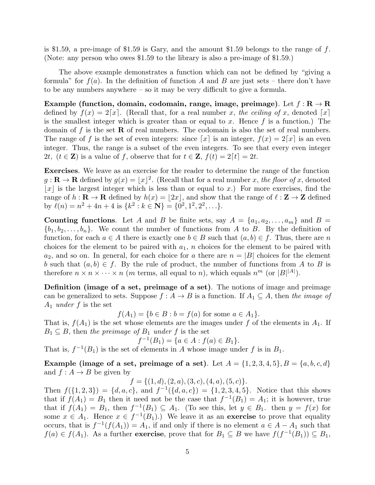is \$1.59, a pre-image of \$1.59 is Gary, and the amount \$1.59 belongs to the range of  $f$ . (Note: any person who owes \$1.59 to the library is also a pre-image of \$1.59.)

The above example demonstrates a function which can not be defined by "giving a formula" for  $f(a)$ . In the definition of function A and B are just sets – there don't have to be any numbers anywhere – so it may be very difficult to give a formula.

Example (function, domain, codomain, range, image, preimage). Let  $f: \mathbb{R} \to \mathbb{R}$ defined by  $f(x) = 2[x]$ . (Recall that, for a real number x, the ceiling of x, denoted [x] is the smallest integer which is greater than or equal to x. Hence  $f$  is a function.) The domain of f is the set  $\bf R$  of real numbers. The codomain is also the set of real numbers. The range of f is the set of even integers: since  $\lceil x \rceil$  is an integer,  $f(x) = 2\lceil x \rceil$  is an even integer. Thus, the range is a subset of the even integers. To see that every even integer 2t,  $(t \in \mathbf{Z})$  is a value of f, observe that for  $t \in \mathbf{Z}$ ,  $f(t) = 2[t] = 2t$ .

Exercises. We leave as an exercise for the reader to determine the range of the function  $g: \mathbf{R} \to \mathbf{R}$  defined by  $g(x) = \lfloor x \rfloor^2$ . (Recall that for a real number x, the floor of x, denoted |x| is the largest integer which is less than or equal to x.) For more exercises, find the range of  $h : \mathbf{R} \to \mathbf{R}$  defined by  $h(x) = |2x|$ , and show that the range of  $\ell : \mathbf{Z} \to \mathbf{Z}$  defined by  $\ell(n) = n^2 + 4n + 4$  is  $\{k^2 : k \in \mathbb{N}\} = \{0^2, 1^2, 2^2, \ldots\}.$ 

Counting functions. Let A and B be finite sets, say  $A = \{a_1, a_2, \ldots, a_m\}$  and  $B =$  $\{b_1, b_2, \ldots, b_n\}$ . We count the number of functions from A to B. By the definition of function, for each  $a \in A$  there is exactly one  $b \in B$  such that  $(a, b) \in f$ . Thus, there are n choices for the element to be paired with  $a_1$ , n choices for the element to be paired with  $a_2$ , and so on. In general, for each choice for a there are  $n = |B|$  choices for the element b such that  $(a, b) \in f$ . By the rule of product, the number of functions from A to B is therefore  $n \times n \times \cdots \times n$  (*m* terms, all equal to *n*), which equals  $n^m$  (or  $|B|^{|A|}$ ).

Definition (image of a set, preimage of a set). The notions of image and preimage can be generalized to sets. Suppose  $f : A \to B$  is a function. If  $A_1 \subseteq A$ , then the image of  $A_1$  under f is the set

 $f(A_1) = \{b \in B : b = f(a) \text{ for some } a \in A_1\}.$ 

That is,  $f(A_1)$  is the set whose elements are the images under f of the elements in  $A_1$ . If  $B_1 \subseteq B$ , then the preimage of  $B_1$  under f is the set

$$
f^{-1}(B_1) = \{a \in A : f(a) \in B_1\}.
$$

That is,  $f^{-1}(B_1)$  is the set of elements in A whose image under f is in  $B_1$ .

Example (image of a set, preimage of a set). Let  $A = \{1, 2, 3, 4, 5\}, B = \{a, b, c, d\}$ and  $f : A \to B$  be given by

 $f = \{(1, d), (2, a), (3, c), (4, a), (5, c)\}.$ 

Then  $f(\{1,2,3\}) = \{d,a,c\}$ , and  $f^{-1}(\{d,a,c\}) = \{1,2,3,4,5\}$ . Notice that this shows that if  $f(A_1) = B_1$  then it need not be the case that  $f^{-1}(B_1) = A_1$ ; it is however, true that if  $f(A_1) = B_1$ , then  $f^{-1}(B_1) \subseteq A_1$ . (To see this, let  $y \in B_1$ . then  $y = f(x)$  for some  $x \in A_1$ . Hence  $x \in f^{-1}(B_1)$ .) We leave it as an **exercise** to prove that equality occurs, that is  $f^{-1}(f(A_1)) = A_1$ , if and only if there is no element  $a \in A - A_1$  such that  $f(a) \in f(A_1)$ . As a further **exercise**, prove that for  $B_1 \subseteq B$  we have  $f(f^{-1}(B_1)) \subseteq B_1$ ,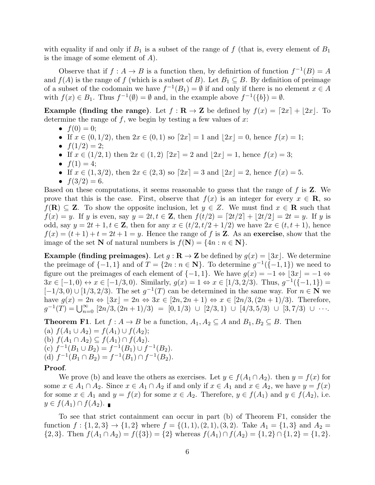with equality if and only if  $B_1$  is a subset of the range of f (that is, every element of  $B_1$ ) is the image of some element of  $A$ ).

Observe that if  $f : A \to B$  is a function then, by definition of function  $f^{-1}(B) = A$ and  $f(A)$  is the range of f (which is a subset of B). Let  $B_1 \subseteq B$ . By definition of preimage of a subset of the codomain we have  $f^{-1}(B_1) = \emptyset$  if and only if there is no element  $x \in A$ with  $f(x) \in B_1$ . Thus  $f^{-1}(\emptyset) = \emptyset$  and, in the example above  $f^{-1}(\{b\}) = \emptyset$ .

**Example (finding the range).** Let  $f : \mathbf{R} \to \mathbf{Z}$  be defined by  $f(x) = [2x] + |2x|$ . To determine the range of  $f$ , we begin by testing a few values of  $x$ :

- $f(0) = 0$ ;
- If  $x \in (0, 1/2)$ , then  $2x \in (0, 1)$  so  $[2x] = 1$  and  $[2x] = 0$ , hence  $f(x) = 1$ ;
- $f(1/2) = 2;$
- If  $x \in (1/2, 1)$  then  $2x \in (1, 2)$   $[2x] = 2$  and  $|2x| = 1$ , hence  $f(x) = 3$ ;
- $f(1) = 4;$
- If  $x \in (1, 3/2)$ , then  $2x \in (2, 3)$  so  $[2x] = 3$  and  $|2x| = 2$ , hence  $f(x) = 5$ .
- $f(3/2) = 6$ .

Based on these computations, it seems reasonable to guess that the range of  $f$  is  $Z$ . We prove that this is the case. First, observe that  $f(x)$  is an integer for every  $x \in \mathbb{R}$ , so  $f(\mathbf{R}) \subseteq \mathbf{Z}$ . To show the opposite inclusion, let  $y \in Z$ . We must find  $x \in \mathbf{R}$  such that  $f(x) = y$ . If y is even, say  $y = 2t, t \in \mathbb{Z}$ , then  $f(t/2) = \lfloor 2t/2 \rfloor + \lfloor 2t/2 \rfloor = 2t = y$ . If y is odd, say  $y = 2t + 1, t \in \mathbb{Z}$ , then for any  $x \in (t/2, t/2 + 1/2)$  we have  $2x \in (t, t + 1)$ , hence  $f(x) = (t+1) + t = 2t + 1 = y$ . Hence the range of f is **Z**. As an exercise, show that the image of the set **N** of natural numbers is  $f(\mathbf{N}) = \{4n : n \in \mathbf{N}\}.$ 

**Example (finding preimages).** Let  $q : \mathbf{R} \to \mathbf{Z}$  be defined by  $q(x) = |3x|$ . We determine the preimage of  $\{-1,1\}$  and of  $T = \{2n : n \in \mathbb{N}\}\$ . To determine  $g^{-1}(\{-1,1\})$  we need to figure out the preimages of each element of  $\{-1, 1\}$ . We have  $g(x) = -1 \Leftrightarrow |3x| = -1 \Leftrightarrow$  $3x \in [-1,0) \leftrightarrow x \in [-1/3,0)$ . Similarly,  $g(x) = 1 \Leftrightarrow x \in [1/3, 2/3)$ . Thus,  $g^{-1}(\{-1,1\}) =$  $[-1/3, 0] \cup [1/3, 2/3]$ . The set  $g^{-1}(T)$  can be determined in the same way. For  $n \in \mathbb{N}$  we have  $g(x) = 2n \Leftrightarrow |3x| = 2n \Leftrightarrow 3x \in [2n, 2n + 1) \Leftrightarrow x \in [2n/3, (2n + 1)/3)$ . Therefore,  $g^{-1}(\tilde{T}) = \bigcup_{n=0}^{\infty} [2n/3, (2n+1)/3) = [0, 1/3) \cup [2/3, 1) \cup [4/3, 5/3) \cup [3, 7/3) \cup \cdots$ 

**Theorem F1.** Let  $f : A \to B$  be a function,  $A_1, A_2 \subseteq A$  and  $B_1, B_2 \subseteq B$ . Then (a)  $f(A_1 \cup A_2) = f(A_1) \cup f(A_2);$ (b)  $f(A_1 \cap A_2) \subseteq f(A_1) \cap f(A_2)$ . (c)  $f^{-1}(B_1 \cup B_2) = f^{-1}(B_1) \cup f^{-1}(B_2)$ . (d)  $f^{-1}(B_1 \cap B_2) = f^{-1}(B_1) \cap f^{-1}(B_2)$ . Proof.

We prove (b) and leave the others as exercises. Let  $y \in f(A_1 \cap A_2)$ , then  $y = f(x)$  for some  $x \in A_1 \cap A_2$ . Since  $x \in A_1 \cap A_2$  if and only if  $x \in A_1$  and  $x \in A_2$ , we have  $y = f(x)$ for some  $x \in A_1$  and  $y = f(x)$  for some  $x \in A_2$ . Therefore,  $y \in f(A_1)$  and  $y \in f(A_2)$ , i.e.  $y \in f(A_1) \cap f(A_2)$ .

To see that strict containment can occur in part (b) of Theorem F1, consider the function  $f: \{1,2,3\} \rightarrow \{1,2\}$  where  $f = \{(1,1), (2,1), (3,2)$ . Take  $A_1 = \{1,3\}$  and  $A_2 =$  ${2, 3}.$  Then  $f(A_1 \cap A_2) = f({3}) = {2}$  whereas  $f(A_1) \cap f(A_2) = {1, 2} \cap {1, 2} = {1, 2}.$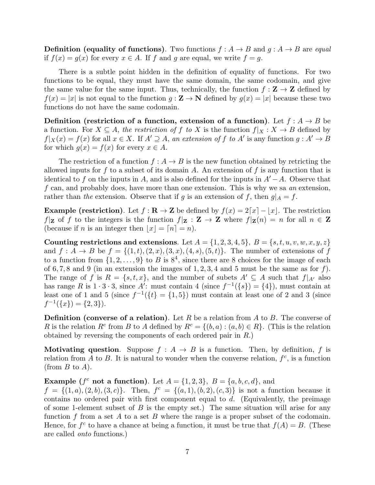**Definition** (equality of functions). Two functions  $f : A \rightarrow B$  and  $g : A \rightarrow B$  are equal if  $f(x) = g(x)$  for every  $x \in A$ . If f and g are equal, we write  $f = g$ .

There is a subtle point hidden in the definition of equality of functions. For two functions to be equal, they must have the same domain, the same codomain, and give the same value for the same input. Thus, technically, the function  $f : \mathbf{Z} \to \mathbf{Z}$  defined by  $f(x) = |x|$  is not equal to the function  $g: \mathbf{Z} \to \mathbf{N}$  defined by  $g(x) = |x|$  because these two functions do not have the same codomain.

Definition (restriction of a function, extension of a function). Let  $f : A \rightarrow B$  be a function. For  $X \subseteq A$ , the restriction of f to X is the function  $f|_X : X \to B$  defined by  $f|_X(x) = f(x)$  for all  $x \in X$ . If  $A' \supseteq A$ , an extension of f to A' is any function  $g : A' \to B$ for which  $g(x) = f(x)$  for every  $x \in A$ .

The restriction of a function  $f : A \to B$  is the new function obtained by retricting the allowed inputs for f to a subset of its domain A. An extension of f is any function that is identical to f on the inputs in A, and is also defined for the inputs in  $A'-A$ . Observe that f can, and probably does, have more than one extension. This is why we sa an extension, rather than the extension. Observe that if g is an extension of f, then  $g|_A = f$ .

**Example (restriction).** Let  $f : \mathbf{R} \to \mathbf{Z}$  be defined by  $f(x) = 2[x] - |x|$ . The restriction  $f|_{\mathbf{Z}}$  of f to the integers is the function  $f|_{\mathbf{Z}} : \mathbf{Z} \to \mathbf{Z}$  where  $f|_{\mathbf{Z}}(n) = n$  for all  $n \in \mathbf{Z}$ (because if *n* is an integer then  $|x| = [n] = n$ ).

Counting restrictions and extensions. Let  $A = \{1, 2, 3, 4, 5\}, B = \{s, t, u, v, w, x, y, z\}$ and  $f: A \to B$  be  $f = \{(1, t), (2, x), (3, x), (4, s), (5, t)\}.$  The number of extensions of f to a function from  $\{1, 2, \ldots, 9\}$  to B is  $8^4$ , since there are 8 choices for the image of each of 6,7,8 and 9 (in an extension the images of 1, 2, 3, 4 and 5 must be the same as for  $f$ ). The range of f is  $R = \{s, t, x\}$ , and the number of subets  $A' \subseteq A$  such that  $f|_{A'}$  also has range R is  $1 \cdot 3 \cdot 3$ , since A': must contain 4 (since  $f^{-1}(\{s\}) = \{4\}$ ), must contain at least one of 1 and 5 (since  $f^{-1}(\{t\} = \{1,5\})$  must contain at least one of 2 and 3 (since  $f^{-1}(\lbrace x \rbrace) = \lbrace 2, 3 \rbrace$ ).

**Definition** (converse of a relation). Let R be a relation from A to B. The converse of R is the relation  $R^c$  from B to A defined by  $R^c = \{(b, a) : (a, b) \in R\}$ . (This is the relation obtained by reversing the components of each ordered pair in R.)

**Motivating question.** Suppose  $f : A \rightarrow B$  is a function. Then, by definition, f is relation from A to B. It is natural to wonder when the converse relation,  $f^c$ , is a function (from  $B$  to  $A$ ).

Example ( $f^c$  not a function). Let  $A = \{1,2,3\}$ ,  $B = \{a,b,c,d\}$ , and

 $f = \{(1, a), (2, b), (3, c)\}.$  Then,  $f^c = \{(a, 1), (b, 2), (c, 3)\}$  is not a function because it contains no ordered pair with first component equal to  $d$ . (Equivalently, the preimage of some 1-element subset of  $B$  is the empty set.) The same situation will arise for any function f from a set A to a set B where the range is a proper subset of the codomain. Hence, for  $f^c$  to have a chance at being a function, it must be true that  $f(A) = B$ . (These are called onto functions.)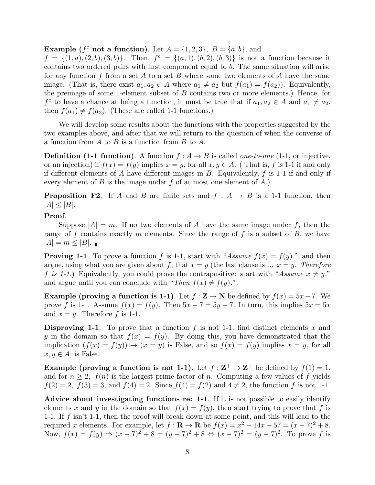**Example** ( $f^c$  not a function). Let  $A = \{1, 2, 3\}$ ,  $B = \{a, b\}$ , and

 $f = \{(1, a), (2, b), (3, b)\}.$  Then,  $f^c = \{(a, 1), (b, 2), (b, 3)\}$  is not a function because it contains two ordered pairs with first component equal to b. The same situation will arise for any function f from a set A to a set B where some two elements of A have the same image. (That is, there exist  $a_1, a_2 \in A$  where  $a_1 \neq a_2$  but  $f(a_1) = f(a_2)$ ). Equivalently, the preimage of some 1-element subset of B contains two or more elements.) Hence, for  $f^c$  to have a chance at being a function, it must be true that if  $a_1, a_2 \in A$  and  $a_1 \neq a_2$ , then  $f(a_1) \neq f(a_2)$ . (These are called 1-1 functions.)

We will develop some results about the functions with the properties suggested by the two examples above, and after that we will return to the question of when the converse of a function from  $A$  to  $B$  is a function from  $B$  to  $A$ .

**Definition (1-1 function).** A function  $f : A \rightarrow B$  is called *one-to-one* (1-1, or injective, or an injection) if  $f(x) = f(y)$  implies  $x = y$ , for all  $x, y \in A$ . (That is, f is 1-1 if and only if different elements of A have different images in  $B$ . Equivalently,  $f$  is 1-1 if and only if every element of B is the image under f of at most one element of  $A$ .)

**Proposition F2.** If A and B are finite sets and  $f : A \rightarrow B$  is a 1-1 function, then  $|A| \leq |B|$ .

# Proof.

Suppose  $|A| = m$ . If no two elements of A have the same image under f, then the range of f contains exactly m elements. Since the range of f is a subset of  $B$ , we have  $|A|=m\leq |B|$ .

**Proving 1-1**. To prove a function f is 1-1, start with "Assume  $f(x) = f(y)$ ." and then argue, using what you are given about f, that  $x = y$  (the last clause is ...  $x = y$ . Therefore f is 1-1.) Equivalently, you could prove the contrapositive: start with "Assume  $x \neq y$ ." and argue until you can conclude with "Then  $f(x) \neq f(y)$ .".

Example (proving a function is 1-1). Let  $f : \mathbf{Z} \to \mathbf{N}$  be defined by  $f(x) = 5x-7$ . We prove f is 1-1. Assume  $f(x) = f(y)$ . Then  $5x - 7 = 5y - 7$ . In turn, this implies  $5x = 5x$ and  $x = y$ . Therefore f is 1-1.

**Disproving 1-1.** To prove that a function f is not 1-1, find distinct elements x and y in the domain so that  $f(x) = f(y)$ . By doing this, you have demonstrated that the implication  $(f(x) = f(y)) \rightarrow (x = y)$  is False, and so  $f(x) = f(y)$  implies  $x = y$ , for all  $x, y \in A$ , is False.

**Example (proving a function is not 1-1)**. Let  $f : \mathbb{Z}^+ \to \mathbb{Z}^+$  be defined by  $f(1) = 1$ , and for  $n \geq 2$ ,  $f(n)$  is the largest prime factor of n. Computing a few values of f yields  $f(2) = 2$ ,  $f(3) = 3$ , and  $f(4) = 2$ . Since  $f(4) = f(2)$  and  $4 \neq 2$ , the function f is not 1-1.

Advice about investigating functions re: 1-1. If it is not possible to easily identify elements x and y in the domain so that  $f(x) = f(y)$ , then start trying to prove that f is 1-1. If f isn't 1-1, then the proof will break down at some point, and this will lead to the required x elements. For example, let  $f: \mathbf{R} \to \mathbf{R}$  be  $f(x) = x^2 - 14x + 57 = (x - 7)^2 + 8$ . Now,  $f(x) = f(y) \Rightarrow (x-7)^2 + 8 = (y-7)^2 + 8 \Leftrightarrow (x-7)^2 = (y-7)^2$ . To prove f is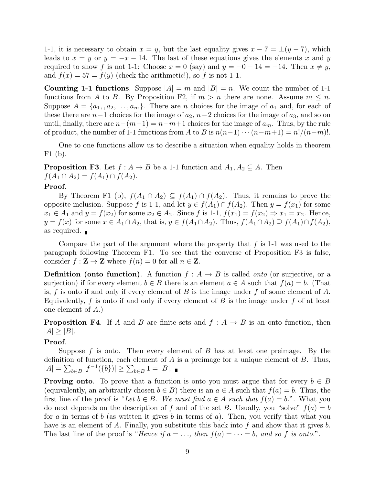1-1, it is necessary to obtain  $x = y$ , but the last equality gives  $x - 7 = \pm (y - 7)$ , which leads to  $x = y$  or  $y = -x - 14$ . The last of these equations gives the elements x and y required to show f is not 1-1: Choose  $x = 0$  (say) and  $y = -0 - 14 = -14$ . Then  $x \neq y$ , and  $f(x) = 57 = f(y)$  (check the arithmetic!), so f is not 1-1.

**Counting 1-1 functions.** Suppose  $|A| = m$  and  $|B| = n$ . We count the number of 1-1 functions from A to B. By Proposition F2, if  $m > n$  there are none. Assume  $m \leq n$ . Suppose  $A = \{a_1, a_2, \ldots, a_m\}$ . There are *n* choices for the image of  $a_1$  and, for each of these there are  $n-1$  choices for the image of  $a_2$ ,  $n-2$  choices for the image of  $a_3$ , and so on until, finally, there are  $n-(m-1)=n-m+1$  choices for the image of  $a_m$ . Thus, by the rule of product, the number of 1-1 functions from A to B is  $n(n-1)\cdots(n-m+1) = n!/(n-m)!$ .

One to one functions allow us to describe a situation when equality holds in theorem F1 (b).

**Proposition F3.** Let  $f : A \to B$  be a 1-1 function and  $A_1, A_2 \subseteq A$ . Then  $f(A_1 \cap A_2) = f(A_1) \cap f(A_2).$ 

## Proof.

By Theorem F1 (b),  $f(A_1 \cap A_2) \subseteq f(A_1) \cap f(A_2)$ . Thus, it remains to prove the opposite inclusion. Suppose f is 1-1, and let  $y \in f(A_1) \cap f(A_2)$ . Then  $y = f(x_1)$  for some  $x_1 \in A_1$  and  $y = f(x_2)$  for some  $x_2 \in A_2$ . Since f is 1-1,  $f(x_1) = f(x_2) \Rightarrow x_1 = x_2$ . Hence,  $y = f(x)$  for some  $x \in A_1 \cap A_2$ , that is,  $y \in f(A_1 \cap A_2)$ . Thus,  $f(A_1 \cap A_2) \supseteq f(A_1) \cap f(A_2)$ , as required.

Compare the part of the argument where the property that  $f$  is 1-1 was used to the paragraph following Theorem F1. To see that the converse of Proposition F3 is false, consider  $f : \mathbf{Z} \to \mathbf{Z}$  where  $f(n) = 0$  for all  $n \in \mathbf{Z}$ .

**Definition** (onto function). A function  $f : A \rightarrow B$  is called *onto* (or surjective, or a surjection) if for every element  $b \in B$  there is an element  $a \in A$  such that  $f(a) = b$ . (That is, f is onto if and only if every element of B is the image under f of some element of A. Equivalently,  $f$  is onto if and only if every element of  $B$  is the image under  $f$  of at least one element of A.)

**Proposition F4.** If A and B are finite sets and  $f : A \rightarrow B$  is an onto function, then  $|A| \geq |B|$ .

# Proof.

Suppose f is onto. Then every element of B has at least one preimage. By the definition of function, each element of  $A$  is a preimage for a unique element of  $B$ . Thus,  $|A| = \sum_{b \in B} |f^{-1}(\{b\})| \ge \sum_{b \in B} 1 = |B|.$ 

**Proving onto**. To prove that a function is onto you must argue that for every  $b \in B$ (equivalently, an arbitrarily chosen  $b \in B$ ) there is an  $a \in A$  such that  $f(a) = b$ . Thus, the first line of the proof is "Let  $b \in B$ . We must find  $a \in A$  such that  $f(a) = b$ .". What you do next depends on the description of f and of the set B. Usually, you "solve"  $f(a) = b$ for a in terms of b (as written it gives b in terms of a). Then, you verify that what you have is an element of A. Finally, you substitute this back into f and show that it gives b. The last line of the proof is "Hence if  $a = \ldots$ , then  $f(a) = \cdots = b$ , and so f is onto.".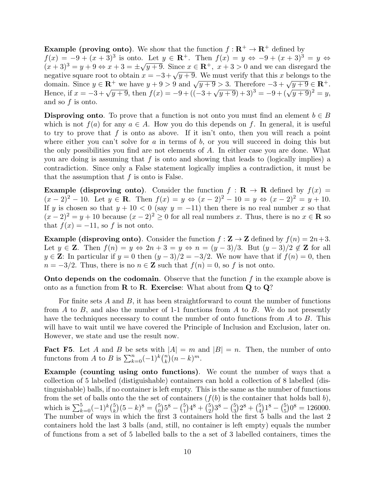**Example (proving onto)**. We show that the function  $f : \mathbb{R}^+ \to \mathbb{R}^+$  defined by  $f(x) = -9 + (x+3)^3$  is onto. Let  $y \in \mathbb{R}^+$ . Then  $f(x) = y \Leftrightarrow -9 + (x+3)^3 = y \Leftrightarrow$  $(x+3)^3 = y+9 \Leftrightarrow x+3 = \pm \sqrt{y+9}$ . Since  $x \in \mathbb{R}^+$ ,  $x+3 > 0$  and we can disregard the  $(x + 3) = y + 9 \Leftrightarrow x + 3 = \pm \sqrt{y + 9}$ . Since  $x \in \mathbb{R}^3$ ,  $x + 3 > 0$  and we can disregard the negative square root to obtain  $x = -3 + \sqrt{y + 9}$ . We must verify that this x belongs to the domain. Since  $y \in \mathbb{R}^+$  we have  $y + 9 > 9$  and  $\sqrt{y+9} > 3$ . Therefore  $-3 + \sqrt{y+9} \in \mathbb{R}^+$ . domain. Since  $y \in \mathbb{R}^+$  we have  $y + 9 > 9$  and  $\sqrt{y + 9} > 3$ . Therefore  $-3 + \sqrt{y + 9} \in \mathbb{R}^+$ .<br>Hence, if  $x = -3 + \sqrt{y + 9}$ , then  $f(x) = -9 + ((-3 + \sqrt{y + 9}) + 3)^3 = -9 + (\sqrt{y + 9})^2 = y$ , and so f is onto.

**Disproving onto**. To prove that a function is not onto you must find an element  $b \in B$ which is not  $f(a)$  for any  $a \in A$ . How you do this depends on f. In general, it is useful to try to prove that f is onto as above. If it isn't onto, then you will reach a point where either you can't solve for a in terms of b, or you will succeed in doing this but the only possibilities you find are not elements of A. In either case you are done. What you are doing is assuming that  $f$  is onto and showing that leads to (logically implies) a contradiction. Since only a False statement logically implies a contradiction, it must be that the assumption that  $f$  is onto is False.

**Example (disproving onto).** Consider the function  $f : \mathbf{R} \to \mathbf{R}$  defined by  $f(x) =$  $(x - 2)^2 - 10$ . Let  $y \in \mathbb{R}$ . Then  $f(x) = y \Leftrightarrow (x - 2)^2 - 10 = y \Leftrightarrow (x - 2)^2 = y + 10$ . If y is chosen so that  $y + 10 < 0$  (say  $y = -11$ ) then there is no real number x so that  $(x-2)^2 = y+10$  because  $(x-2)^2 \ge 0$  for all real numbers x. Thus, there is no  $x \in \mathbb{R}$  so that  $f(x) = -11$ , so f is not onto.

**Example (disproving onto)**. Consider the function  $f : \mathbf{Z} \to \mathbf{Z}$  defined by  $f(n) = 2n+3$ . Let  $y \in \mathbb{Z}$ . Then  $f(n) = y \Leftrightarrow 2n + 3 = y \Leftrightarrow n = (y - 3)/3$ . But  $(y - 3)/2 \notin \mathbb{Z}$  for all  $y \in \mathbb{Z}$ : In particular if  $y = 0$  then  $(y - 3)/2 = -3/2$ . We now have that if  $f(n) = 0$ , then  $n = -3/2$ . Thus, there is no  $n \in \mathbb{Z}$  such that  $f(n) = 0$ , so f is not onto.

**Onto depends on the codomain.** Observe that the function  $f$  in the example above is onto as a function from  $\bf{R}$  to  $\bf{R}$ . Exercise: What about from  $\bf{Q}$  to  $\bf{Q}$ ?

For finite sets  $A$  and  $B$ , it has been straightforward to count the number of functions from  $A$  to  $B$ , and also the number of 1-1 functions from  $A$  to  $B$ . We do not presently have the techniques necessary to count the number of onto functions from A to B. This will have to wait until we have covered the Principle of Inclusion and Exclusion, later on. However, we state and use the result now.

**Fact F5.** Let A and B be sets with  $|A| = m$  and  $|B| = n$ . Then, the number of onto functons from A to B is  $\sum_{k=0}^{n}(-1)^{k}\binom{n}{k}$  $\binom{n}{k}(n-k)^m$ .

Example (counting using onto functions). We count the number of ways that a collection of 5 labelled (distiguishable) containers can hold a collection of 8 labelled (distinguishable) balls, if no container is left empty. This is the same as the number of functions from the set of balls onto the the set of containers  $(f(b)$  is the container that holds ball b), which is  $\sum_{k=0}^{5}(-1)^k\binom{5}{k}$  ${k \choose k} (5-k)^8 = {5 \choose 0}$  $\binom{5}{0}5^8 - \binom{5}{1}$  $_{1}^{5}$  $\big)$  $4^{8}$  +  $\big({5 \over 2}$  ${5 \choose 2}3^8 - {5 \choose 3}$  $\binom{5}{3}$  $2^8$  +  $\binom{5}{4}$  $\binom{5}{4}$  1<sup>8</sup> –  $\binom{5}{5}$  $_{5}^{5}$ ) $0^8 = 126000.$ The number of ways in which the first 3 containers hold the first 5 balls and the last 2 containers hold the last 3 balls (and, still, no container is left empty) equals the number of functions from a set of 5 labelled balls to the a set of 3 labelled containers, times the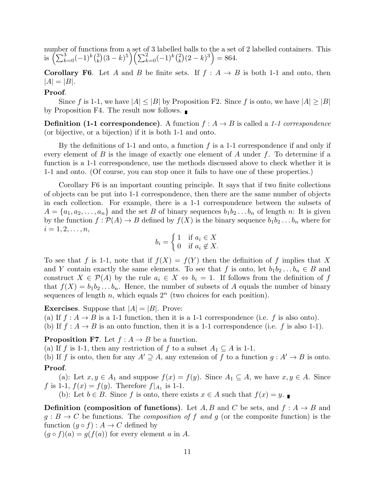number of functions from a set of 3 labelled balls to the a set of 2 labelled containers. This is  $\left(\sum_{k=0}^{3}(-1)^{k}\binom{3}{k}\right)$  ${k \choose k} (3-k)^5 \left( \sum_{k=0}^2 (-1)^k \binom{2}{k} \right)$  ${k \choose k} (2-k)^3 = 864.$ 

**Corollary F6.** Let A and B be finite sets. If  $f : A \rightarrow B$  is both 1-1 and onto, then  $|A| = |B|.$ 

## Proof.

Since f is 1-1, we have  $|A| \leq |B|$  by Proposition F2. Since f is onto, we have  $|A| \geq |B|$ by Proposition F4. The result now follows.

**Definition (1-1 correspondence).** A function  $f : A \rightarrow B$  is called a 1-1 correspondence (or bijective, or a bijection) if it is both 1-1 and onto.

By the definitions of 1-1 and onto, a function  $f$  is a 1-1 correspondence if and only if every element of  $B$  is the image of exactly one element of  $A$  under  $f$ . To determine if a function is a 1-1 correspondence, use the methods discussed above to check whether it is 1-1 and onto. (Of course, you can stop once it fails to have one of these properties.)

Corollary F6 is an important counting principle. It says that if two finite collections of objects can be put into 1-1 correspondence, then there are the same number of objects in each collection. For example, there is a 1-1 correspondence between the subsets of  $A = \{a_1, a_2, \ldots, a_n\}$  and the set B of binary sequences  $b_1b_2 \ldots b_n$  of length n: It is given by the function  $f : \mathcal{P}(A) \to B$  defined by  $f(X)$  is the binary sequence  $b_1b_2 \ldots b_n$  where for  $i = 1, 2, \ldots, n,$ 

$$
b_i = \begin{cases} 1 & \text{if } a_i \in X \\ 0 & \text{if } a_i \notin X. \end{cases}
$$

To see that f is 1-1, note that if  $f(X) = f(Y)$  then the definition of f implies that X and Y contain exactly the same elements. To see that f is onto, let  $b_1b_2 \ldots b_n \in B$  and construct  $X \in \mathcal{P}(A)$  by the rule  $a_i \in X \Leftrightarrow b_i = 1$ . If follows from the definition of f that  $f(X) = b_1b_2...b_n$ . Hence, the number of subsets of A equals the number of binary sequences of length n, which equals  $2^n$  (two choices for each position).

**Exercises.** Suppose that  $|A| = |B|$ . Prove:

(a) If  $f : A \to B$  is a 1-1 function, then it is a 1-1 correspondence (i.e. f is also onto).

(b) If  $f : A \to B$  is an onto function, then it is a 1-1 correspondence (i.e. f is also 1-1).

**Proposition F7.** Let  $f : A \rightarrow B$  be a function.

(a) If f is 1-1, then any restriction of f to a subset  $A_1 \subseteq A$  is 1-1.

(b) If f is onto, then for any  $A' \supseteq A$ , any extension of f to a function  $g : A' \rightarrow B$  is onto. Proof.

(a): Let  $x, y \in A_1$  and suppose  $f(x) = f(y)$ . Since  $A_1 \subseteq A$ , we have  $x, y \in A$ . Since f is 1-1,  $f(x) = f(y)$ . Therefore  $f|_{A_1}$  is 1-1.

(b): Let  $b \in B$ . Since f is onto, there exists  $x \in A$  such that  $f(x) = y$ .

**Definition (composition of functions).** Let A, B and C be sets, and  $f : A \rightarrow B$  and  $g : B \to C$  be functions. The *composition of f and g* (or the composite function) is the function  $(g \circ f) : A \to C$  defined by

 $(g \circ f)(a) = g(f(a))$  for every element a in A.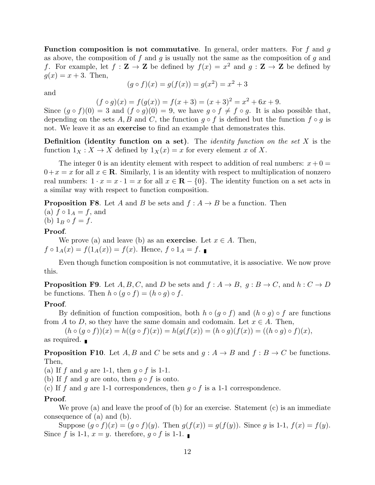**Function composition is not commutative.** In general, order matters. For  $f$  and  $g$ as above, the composition of f and g is usually not the same as the composition of g and f. For example, let  $f: \mathbf{Z} \to \mathbf{Z}$  be defined by  $f(x) = x^2$  and  $g: \mathbf{Z} \to \mathbf{Z}$  be defined by  $q(x) = x + 3$ . Then,

$$
(g \circ f)(x) = g(f(x)) = g(x^2) = x^2 + 3
$$

and

 $(f \circ g)(x) = f(g(x)) = f(x+3) = (x+3)^2 = x^2 + 6x + 9.$ 

Since  $(g \circ f)(0) = 3$  and  $(f \circ g)(0) = 9$ , we have  $g \circ f \neq f \circ g$ . It is also possible that, depending on the sets A, B and C, the function  $g \circ f$  is defined but the function  $f \circ g$  is not. We leave it as an **exercise** to find an example that demonstrates this.

**Definition** (identity function on a set). The *identity function on the set X* is the function  $1_X : X \to X$  defined by  $1_X(x) = x$  for every element x of X.

The integer 0 is an identity element with respect to addition of real numbers:  $x + 0 =$  $0+x = x$  for all  $x \in \mathbb{R}$ . Similarly, 1 is an identity with respect to multiplication of nonzero real numbers:  $1 \cdot x = x \cdot 1 = x$  for all  $x \in \mathbb{R} - \{0\}$ . The identity function on a set acts in a similar way with respect to function composition.

**Proposition F8.** Let A and B be sets and  $f : A \rightarrow B$  be a function. Then

(a)  $f \circ 1_A = f$ , and (b)  $1_B \circ f = f$ .

### Proof.

We prove (a) and leave (b) as an **exercise**. Let  $x \in A$ . Then,  $f \circ 1_A(x) = f(1_A(x)) = f(x)$ . Hence,  $f \circ 1_A = f$ .

Even though function composition is not commutative, it is associative. We now prove this.

**Proposition F9.** Let  $A, B, C$ , and D be sets and  $f : A \rightarrow B$ ,  $g : B \rightarrow C$ , and  $h : C \rightarrow D$ be functions. Then  $h \circ (g \circ f) = (h \circ g) \circ f$ .

## Proof.

By definition of function composition, both  $h \circ (g \circ f)$  and  $(h \circ g) \circ f$  are functions from A to D, so they have the same domain and codomain. Let  $x \in A$ . Then,

 $(h \circ (g \circ f))(x) = h((g \circ f)(x)) = h(g(f(x))) = (h \circ g)(f(x)) = ((h \circ g) \circ f)(x),$ as required.

**Proposition F10.** Let A, B and C be sets and  $g : A \rightarrow B$  and  $f : B \rightarrow C$  be functions. Then,

(a) If f and g are 1-1, then  $g \circ f$  is 1-1.

(b) If f and g are onto, then  $g \circ f$  is onto.

(c) If f and g are 1-1 correspondences, then  $g \circ f$  is a 1-1 correspondence.

#### Proof.

We prove (a) and leave the proof of (b) for an exercise. Statement (c) is an immediate consequence of (a) and (b).

Suppose  $(q \circ f)(x) = (q \circ f)(y)$ . Then  $q(f(x)) = q(f(y))$ . Since q is 1-1,  $f(x) = f(y)$ . Since f is 1-1,  $x = y$ . therefore,  $g \circ f$  is 1-1.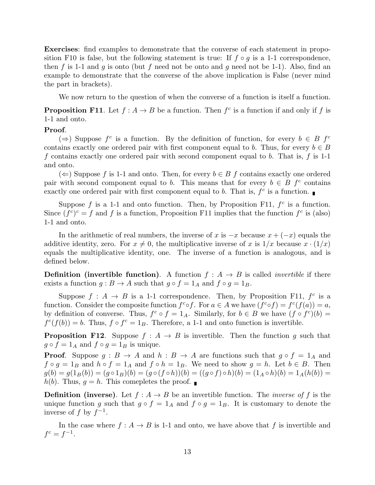Exercises: find examples to demonstrate that the converse of each statement in proposition F10 is false, but the following statement is true: If  $f \circ g$  is a 1-1 correspondence, then f is 1-1 and g is onto (but f need not be onto and g need not be 1-1). Also, find an example to demonstrate that the converse of the above implication is False (never mind the part in brackets).

We now return to the question of when the converse of a function is itself a function.

**Proposition F11.** Let  $f : A \to B$  be a function. Then  $f^c$  is a function if and only if f is 1-1 and onto.

## Proof.

(⇒) Suppose  $f^c$  is a function. By the definition of function, for every  $b \in B$   $f^c$ contains exactly one ordered pair with first component equal to b. Thus, for every  $b \in B$ f contains exactly one ordered pair with second component equal to b. That is, f is 1-1 and onto.

(  $\Leftarrow$  Suppose f is 1-1 and onto. Then, for every  $b \in B$  f contains exactly one ordered pair with second component equal to b. This means that for every  $b \in B$  f<sup>c</sup> contains exactly one ordered pair with first component equal to b. That is,  $f^c$  is a function.

Suppose  $f$  is a 1-1 and onto function. Then, by Proposition F11,  $f^c$  is a function. Since  $(f^c)^c = f$  and f is a function, Proposition F11 implies that the function  $f^c$  is (also) 1-1 and onto.

In the arithmetic of real numbers, the inverse of x is  $-x$  because  $x + (-x)$  equals the additive identity, zero. For  $x \neq 0$ , the multiplicative inverse of x is  $1/x$  because  $x \cdot (1/x)$ equals the multiplicative identity, one. The inverse of a function is analogous, and is defined below.

**Definition** (invertible function). A function  $f : A \rightarrow B$  is called *invertible* if there exists a function  $g : B \to A$  such that  $g \circ f = 1_A$  and  $f \circ g = 1_B$ .

Suppose  $f: A \to B$  is a 1-1 correspondence. Then, by Proposition F11,  $f^c$  is a function. Consider the composite function  $f^c \circ f$ . For  $a \in A$  we have  $(f^c \circ f) = f^c(f(a)) = a$ , by definition of converse. Thus,  $f^c \circ f = 1_A$ . Similarly, for  $b \in B$  we have  $(f \circ f^c)(b) =$  $f^c(f(b)) = b$ . Thus,  $f \circ f^c = 1_B$ . Therefore, a 1-1 and onto function is invertible.

**Proposition F12.** Suppose  $f : A \rightarrow B$  is invertible. Then the function g such that  $g \circ f = 1_A$  and  $f \circ g = 1_B$  is unique.

**Proof.** Suppose  $g : B \to A$  and  $h : B \to A$  are functions such that  $g \circ f = 1_A$  and  $f \circ g = 1_B$  and  $h \circ f = 1_A$  and  $f \circ h = 1_B$ . We need to show  $g = h$ . Let  $b \in B$ . Then  $g(b) = g(1_B(b)) = (g \circ 1_B)(b) = (g \circ (f \circ h))(b) = ((g \circ f) \circ h)(b) = (1_A \circ h)(b) = 1_A(h(b)) =$  $h(b)$ . Thus,  $q = h$ . This comepletes the proof.

**Definition (inverse).** Let  $f : A \rightarrow B$  be an invertible function. The *inverse of* f is the unique function g such that  $g \circ f = 1_A$  and  $f \circ g = 1_B$ . It is customary to denote the inverse of f by  $f^{-1}$ .

In the case where  $f : A \to B$  is 1-1 and onto, we have above that f is invertible and  $f^c = f^{-1}.$